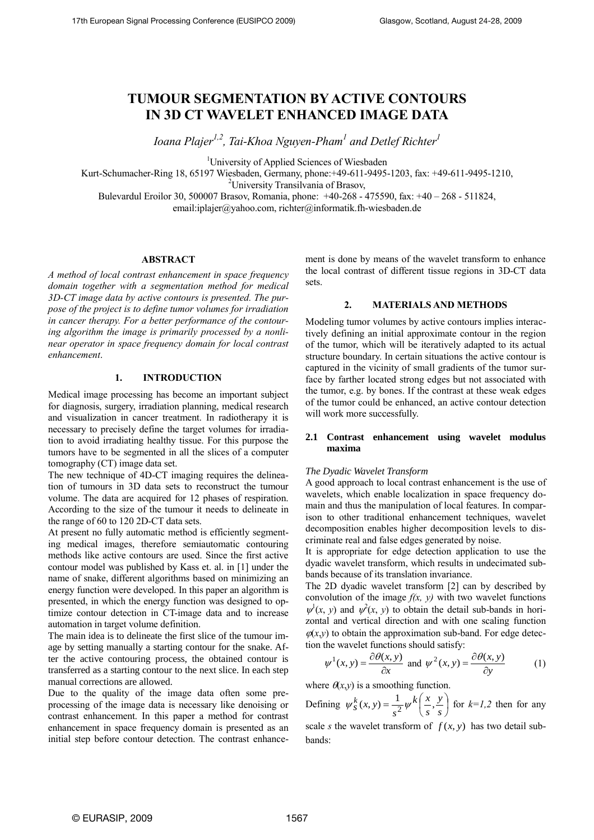# **TUMOUR SEGMENTATION BY ACTIVE CONTOURS IN 3D CT WAVELET ENHANCED IMAGE DATA**

*Ioana Plajer1,2 , Tai-Khoa Nguyen-Pham<sup>1</sup> and Detlef Richter<sup>1</sup>*

<sup>1</sup>University of Applied Sciences of Wiesbaden

Kurt-Schumacher-Ring 18, 65197 Wiesbaden, Germany, phone:+49-611-9495-1203, fax: +49-611-9495-1210,

<sup>2</sup>University Transilvania of Brasov,

Bulevardul Eroilor 30, 500007 Brasov, Romania, phone: +40-268 - 475590, fax: +40 – 268 - 511824,

email:iplajer@yahoo.com, richter@informatik.fh-wiesbaden.de

# **ABSTRACT**

*A method of local contrast enhancement in space frequency domain together with a segmentation method for medical 3D-CT image data by active contours is presented. The purpose of the project is to define tumor volumes for irradiation in cancer therapy. For a better performance of the contouring algorithm the image is primarily processed by a nonlinear operator in space frequency domain for local contrast enhancement*.

# **1. INTRODUCTION**

Medical image processing has become an important subject for diagnosis, surgery, irradiation planning, medical research and visualization in cancer treatment. In radiotherapy it is necessary to precisely define the target volumes for irradiation to avoid irradiating healthy tissue. For this purpose the tumors have to be segmented in all the slices of a computer tomography (CT) image data set.

The new technique of 4D-CT imaging requires the delineation of tumours in 3D data sets to reconstruct the tumour volume. The data are acquired for 12 phases of respiration. According to the size of the tumour it needs to delineate in the range of 60 to 120 2D-CT data sets.

At present no fully automatic method is efficiently segmenting medical images, therefore semiautomatic contouring methods like active contours are used. Since the first active contour model was published by Kass et. al. in [1] under the name of snake, different algorithms based on minimizing an energy function were developed. In this paper an algorithm is presented, in which the energy function was designed to optimize contour detection in CT-image data and to increase automation in target volume definition.

The main idea is to delineate the first slice of the tumour image by setting manually a starting contour for the snake. After the active contouring process, the obtained contour is transferred as a starting contour to the next slice. In each step manual corrections are allowed.

Due to the quality of the image data often some preprocessing of the image data is necessary like denoising or contrast enhancement. In this paper a method for contrast enhancement in space frequency domain is presented as an initial step before contour detection. The contrast enhancement is done by means of the wavelet transform to enhance the local contrast of different tissue regions in 3D-CT data sets.

#### **2. MATERIALS AND METHODS**

Modeling tumor volumes by active contours implies interactively defining an initial approximate contour in the region of the tumor, which will be iteratively adapted to its actual structure boundary. In certain situations the active contour is captured in the vicinity of small gradients of the tumor surface by farther located strong edges but not associated with the tumor, e.g. by bones. If the contrast at these weak edges of the tumor could be enhanced, an active contour detection will work more successfully.

# **2.1 Contrast enhancement using wavelet modulus maxima**

### *The Dyadic Wavelet Transform*

A good approach to local contrast enhancement is the use of wavelets, which enable localization in space frequency domain and thus the manipulation of local features. In comparison to other traditional enhancement techniques, wavelet decomposition enables higher decomposition levels to discriminate real and false edges generated by noise.

It is appropriate for edge detection application to use the dyadic wavelet transform, which results in undecimated subbands because of its translation invariance.

The 2D dyadic wavelet transform [2] can by described by convolution of the image  $f(x, y)$  with two wavelet functions  $\psi^1(x, y)$  and  $\psi^2(x, y)$  to obtain the detail sub-bands in horizontal and vertical direction and with one scaling function  $\varphi(x,y)$  to obtain the approximation sub-band. For edge detection the wavelet functions should satisfy:

$$
\psi^1(x, y) = \frac{\partial \theta(x, y)}{\partial x} \text{ and } \psi^2(x, y) = \frac{\partial \theta(x, y)}{\partial y} \tag{1}
$$

where  $\theta(x,y)$  is a smoothing function.

Defining  $\psi_S^k(x, y) = \frac{1}{2} \psi^k \left( \frac{x}{s}, \frac{y}{s} \right)$ J  $\left(\frac{x}{2},\frac{y}{2}\right)$ L  $=\frac{1}{s^2}\psi^k\left(\frac{x}{s},\frac{y}{s}\right)$ *y s k x*  $\psi_s^k(x, y) = \frac{1}{s^2} \psi^k \left( \frac{x}{s}, \frac{y}{s} \right)$  for  $k=1,2$  then for any scale *s* the wavelet transform of  $f(x, y)$  has two detail subbands: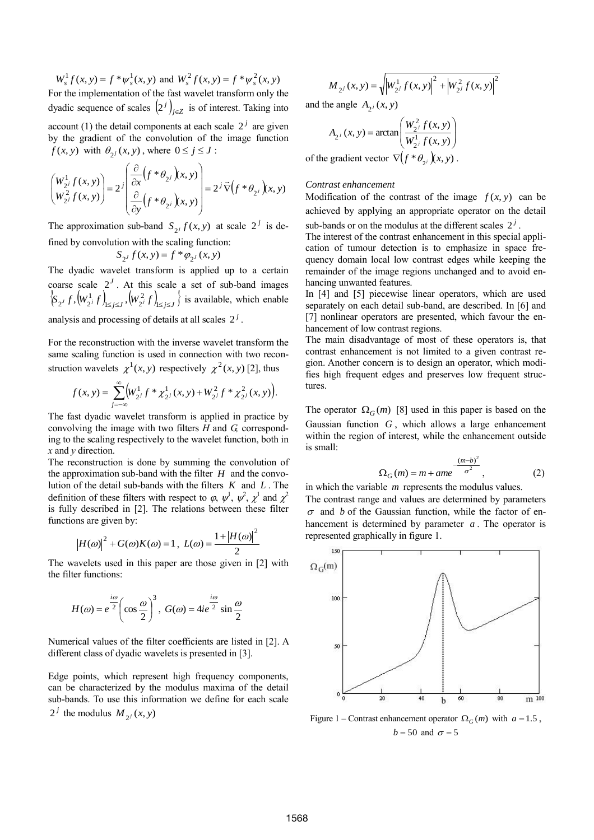$W_s^1 f(x, y) = f^* \psi_s^1(x, y)$  and  $W_s^2 f(x, y) = f^* \psi_s^2(x, y)$ For the implementation of the fast wavelet transform only the dyadic sequence of scales  $(2^j)_{j \in \mathbb{Z}}$  is of interest. Taking into account (1) the detail components at each scale  $2<sup>j</sup>$  are given by the gradient of the convolution of the image function  $f(x, y)$  with  $\theta_{2^j}(x, y)$ , where  $0 \le j \le J$ :

$$
\begin{pmatrix} W_{2^j}^1 f(x, y) \\ W_{2^j}^2 f(x, y) \end{pmatrix} = 2^j \begin{pmatrix} \frac{\partial}{\partial x} \left( f^* \theta_{2^j} \right) \left( x, y \right) \\ \frac{\partial}{\partial y} \left( f^* \theta_{2^j} \right) \left( x, y \right) \end{pmatrix} = 2^j \vec{\nabla} \left( f^* \theta_{2^j} \right) \left( x, y \right)
$$

The approximation sub-band  $S_{2j} f(x, y)$  at scale  $2^{j}$  is defined by convolution with the scaling function:

$$
S_{2^J} f(x, y) = f^* \varphi_{2^J} (x, y)
$$

The dyadic wavelet transform is applied up to a certain coarse scale  $2<sup>J</sup>$ . At this scale a set of sub-band images  $\left\{\mathbf{S}_{2^J} f, \left(\mathbf{W}_{2^J}^1 f\right)_{1 \leq j \leq J}, \left(\mathbf{W}_{2^J}^2 f\right)_{1 \leq j \leq J} \right\}$  i 2 '1≤*j≤J* ' <sup>\'</sup> 2 1  $_{2} f$ ,  $(W_{2}^1 f)_{1 \leq j \leq J}$ ,  $(W_{2}^2 f)_{1 \leq j \leq J}$  is available, which enable

analysis and processing of details at all scales  $2<sup>j</sup>$ .

For the reconstruction with the inverse wavelet transform the same scaling function is used in connection with two reconstruction wavelets  $\chi^1(x, y)$  respectively  $\chi^2(x, y)$  [2], thus

$$
f(x, y) = \sum_{j=-\infty}^{\infty} \left(W_{2^j}^1 f^* \chi_{2^j}^1(x, y) + W_{2^j}^2 f^* \chi_{2^j}^2(x, y)\right).
$$

 .The fast dyadic wavelet transform is applied in practice by convolving the image with two filters *H* and *G,* corresponding to the scaling respectively to the wavelet function, both in *x* and *y* direction.

The reconstruction is done by summing the convolution of the approximation sub-band with the filter  $H$  and the convolution of the detail sub-bands with the filters *K* and *L* . The definition of these filters with respect to  $\varphi$ ,  $\psi^1$ ,  $\psi^2$ ,  $\chi^1$  and  $\chi^2$ is fully described in [2]. The relations between these filter functions are given by:

$$
|H(\omega)|^2 + G(\omega)K(\omega) = 1, L(\omega) = \frac{1 + |H(\omega)|^2}{2}
$$

The wavelets used in this paper are those given in [2] with the filter functions:

$$
H(\omega) = e^{\frac{i\omega}{2}} \left( \cos \frac{\omega}{2} \right)^3, \ G(\omega) = 4ie^{\frac{i\omega}{2}} \sin \frac{\omega}{2}
$$

Numerical values of the filter coefficients are listed in [2]. A different class of dyadic wavelets is presented in [3].

Edge points, which represent high frequency components, can be characterized by the modulus maxima of the detail sub-bands. To use this information we define for each scale  $2^{j}$  the modulus  $M_{2^{j}}(x, y)$ 

$$
M_{2^{j}}(x, y) = \sqrt{W_{2^{j}}^{1} f(x, y)\vert^{2} + \left|W_{2^{j}}^{2} f(x, y)\right|^{2}}
$$

and the angle  $A_{2^j}(x, y)$ 

$$
A_{2^{j}}(x, y) = \arctan\left(\frac{W_{2^{j}}^{2} f(x, y)}{W_{2^{j}}^{1} f(x, y)}\right)
$$

of the gradient vector  $\nabla (f * \theta_{2^i}) (x, y)$ .

# *Contrast enhancement*

Modification of the contrast of the image  $f(x, y)$  can be achieved by applying an appropriate operator on the detail sub-bands or on the modulus at the different scales  $2<sup>j</sup>$ .

The interest of the contrast enhancement in this special application of tumour detection is to emphasize in space frequency domain local low contrast edges while keeping the remainder of the image regions unchanged and to avoid enhancing unwanted features.

In [4] and [5] piecewise linear operators, which are used separately on each detail sub-band, are described. In [6] and [7] nonlinear operators are presented, which favour the enhancement of low contrast regions.

The main disadvantage of most of these operators is, that contrast enhancement is not limited to a given contrast region. Another concern is to design an operator, which modifies high frequent edges and preserves low frequent structures.

The operator  $\Omega_G(m)$  [8] used in this paper is based on the Gaussian function *G* , which allows a large enhancement within the region of interest, while the enhancement outside is small:

$$
\Omega_G(m) = m + ame^{-\frac{(m-b)^2}{\sigma^2}},
$$
\n(2)

in which the variable *m* represents the modulus values. The contrast range and values are determined by parameters  $\sigma$  and *b* of the Gaussian function, while the factor of enhancement is determined by parameter *a* . The operator is represented graphically in figure 1.



Figure 1 – Contrast enhancement operator  $\Omega_G(m)$  with  $a = 1.5$ ,  $b = 50$  and  $\sigma = 5$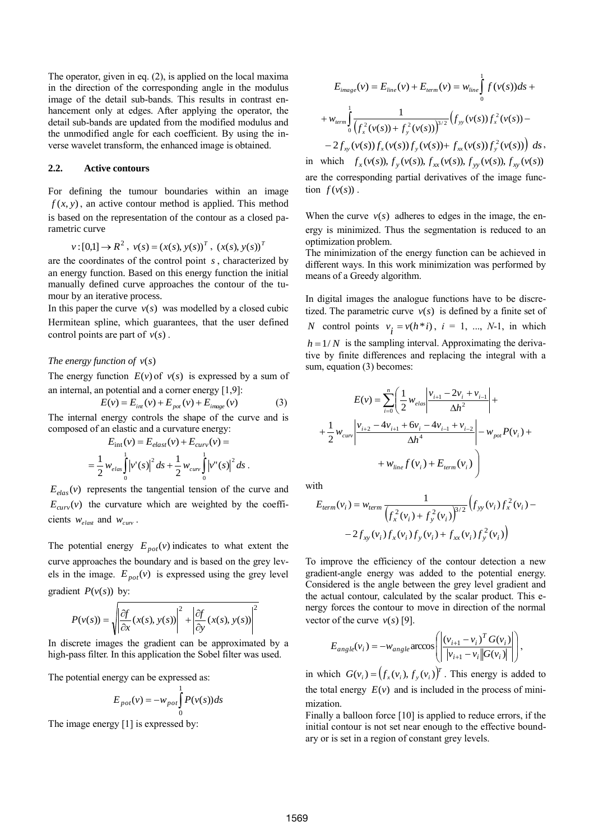The operator, given in eq. (2), is applied on the local maxima in the direction of the corresponding angle in the modulus image of the detail sub-bands. This results in contrast enhancement only at edges. After applying the operator, the detail sub-bands are updated from the modified modulus and the unmodified angle for each coefficient. By using the inverse wavelet transform, the enhanced image is obtained.

# **2.2. Active contours**

For defining the tumour boundaries within an image  $f(x, y)$ , an active contour method is applied. This method is based on the representation of the contour as a closed parametric curve

$$
v:[0,1] \to R^2
$$
,  $v(s) = (x(s), y(s))^T$ ,  $(x(s), y(s))^T$ 

are the coordinates of the control point *s* , characterized by an energy function. Based on this energy function the initial manually defined curve approaches the contour of the tumour by an iterative process.

In this paper the curve  $v(s)$  was modelled by a closed cubic Hermitean spline, which guarantees, that the user defined control points are part of  $v(s)$ .

#### *The energy function of*  $v(s)$

The energy function  $E(v)$  of  $v(s)$  is expressed by a sum of an internal, an potential and a corner energy [1,9]:

$$
E(v) = E_{int}(v) + E_{pot}(v) + E_{image}(v)
$$
 (3)

The internal energy controls the shape of the curve and is composed of an elastic and a curvature energy:

$$
E_{int}(v) = E_{elast}(v) + E_{curv}(v) =
$$
  
=  $\frac{1}{2} w_{elas} \int_{0}^{1} |v'(s)|^2 ds + \frac{1}{2} w_{curv} \int_{0}^{1} |v''(s)|^2 ds$ .

 $E_{elas}(v)$  represents the tangential tension of the curve and  $E_{curv}(v)$  the curvature which are weighted by the coefficients  $w_{elast}$  and  $w_{curv}$ .

The potential energy  $E_{pot}(v)$  indicates to what extent the curve approaches the boundary and is based on the grey levels in the image.  $E_{pot}(v)$  is expressed using the grey level gradient  $P(v(s))$  by:

$$
P(v(s)) = \sqrt{\left|\frac{\partial f}{\partial x}(x(s), y(s))\right|^2 + \left|\frac{\partial f}{\partial y}(x(s), y(s))\right|^2}
$$

In discrete images the gradient can be approximated by a high-pass filter. In this application the Sobel filter was used.

The potential energy can be expressed as:

$$
E_{pot}(v) = -w_{pot} \int_{0}^{1} P(v(s))ds
$$

The image energy [1] is expressed by:

$$
E_{image}(v) = E_{line}(v) + E_{term}(v) = w_{line}\int_{0}^{1} f(v(s))ds +
$$
  
+  $w_{term}\int_{0}^{1} \frac{1}{(f_x^2(v(s)) + f_y^2(v(s)))^{3/2}} (f_{yy}(v(s))f_x^2(v(s)) -$   
-  $2f_{xy}(v(s))f_x(v(s))f_y(v(s)) + f_{xx}(v(s))f_y^2(v(s)) dx$ ,

in which  $f_x(v(s)), f_y(v(s)), f_{xx}(v(s)), f_{yy}(v(s)), f_{xy}(v(s))$ are the corresponding partial derivatives of the image func- $\text{tion } f(v(s))$ .

When the curve  $v(s)$  adheres to edges in the image, the energy is minimized. Thus the segmentation is reduced to an optimization problem.

The minimization of the energy function can be achieved in different ways. In this work minimization was performed by means of a Greedy algorithm.

In digital images the analogue functions have to be discretized. The parametric curve  $v(s)$  is defined by a finite set of *N* control points  $v_i = v(h * i)$ ,  $i = 1, ..., N-1$ , in which  $h = 1/N$  is the sampling interval. Approximating the derivative by finite differences and replacing the integral with a sum, equation (3) becomes:

$$
E(v) = \sum_{i=0}^{n} \left( \frac{1}{2} w_{elas} \left| \frac{v_{i+1} - 2v_i + v_{i-1}}{\Delta h^2} \right| + \frac{1}{2} w_{curv} \left| \frac{v_{i+2} - 4v_{i+1} + 6v_i - 4v_{i-1} + v_{i-2}}{\Delta h^4} \right| - w_{pot} P(v_i) + \frac{1}{2} w_{line} f(v_i) + E_{term}(v_i) \right)
$$

with

$$
E_{term}(v_i) = w_{term} \frac{1}{\left(f_x^2(v_i) + f_y^2(v_i)\right)^{3/2}} \left(f_{yy}(v_i)f_x^2(v_i) - 2f_{xy}(v_i)f_x(v_i)f_y(v_i) + f_{xx}(v_i)f_y^2(v_i)\right)
$$

To improve the efficiency of the contour detection a new gradient-angle energy was added to the potential energy. Considered is the angle between the grey level gradient and the actual contour, calculated by the scalar product. This energy forces the contour to move in direction of the normal vector of the curve  $v(s)$  [9].

$$
E_{angle}(v_i) = -w_{angle} \arccos\left(\left|\frac{(v_{i+1} - v_i)^T G(v_i)}{|v_{i+1} - v_i| G(v_i)|}\right|\right),\,
$$

in which  $G(v_i) = (f_x(v_i), f_y(v_i))^T$ . This energy is added to the total energy  $E(v)$  and is included in the process of minimization.

Finally a balloon force [10] is applied to reduce errors, if the initial contour is not set near enough to the effective boundary or is set in a region of constant grey levels.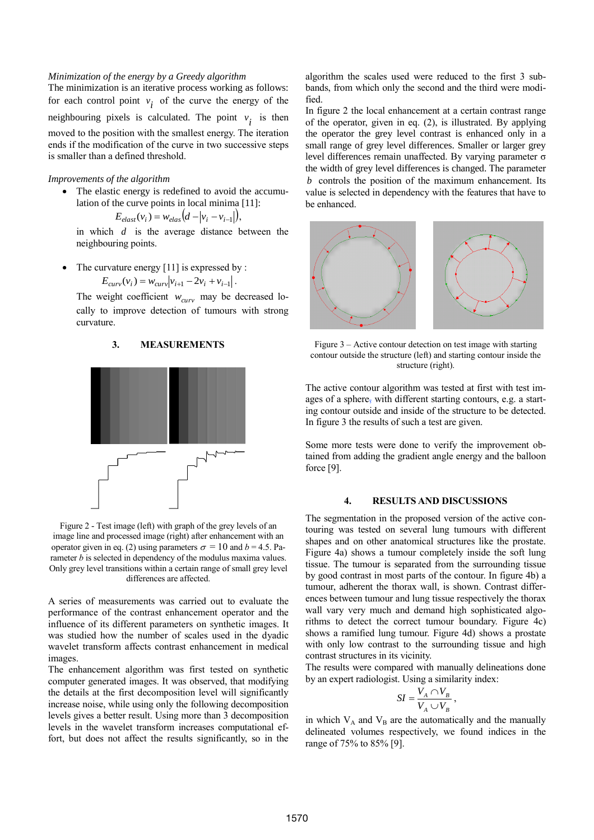#### *Minimization of the energy by a Greedy algorithm*

The minimization is an iterative process working as follows: for each control point  $v_i$  of the curve the energy of the neighbouring pixels is calculated. The point  $v_i$  is then moved to the position with the smallest energy. The iteration ends if the modification of the curve in two successive steps is smaller than a defined threshold.

# *Improvements of the algorithm*

• The elastic energy is redefined to avoid the accumulation of the curve points in local minima [11]:

$$
E_{elast}(v_i) = w_{elas}(d - |v_i - v_{i-1}|),
$$

in which *d* is the average distance between the neighbouring points.

 The curvature energy [11] is expressed by :  $E_{curv}(v_i) = w_{curv}|v_{i+1} - 2v_i + v_{i-1}|.$ 

The weight coefficient *wcurv* may be decreased locally to improve detection of tumours with strong curvature.

# **3. MEASUREMENTS**



Figure 2 - Test image (left) with graph of the grey levels of an image line and processed image (right) after enhancement with an operator given in eq. (2) using parameters  $\sigma = 10$  and  $b = 4.5$ . Parameter *b* is selected in dependency of the modulus maxima values. Only grey level transitions within a certain range of small grey level differences are affected.

A series of measurements was carried out to evaluate the performance of the contrast enhancement operator and the influence of its different parameters on synthetic images. It was studied how the number of scales used in the dyadic wavelet transform affects contrast enhancement in medical images.

The enhancement algorithm was first tested on synthetic computer generated images. It was observed, that modifying the details at the first decomposition level will significantly increase noise, while using only the following decomposition levels gives a better result. Using more than 3 decomposition levels in the wavelet transform increases computational effort, but does not affect the results significantly, so in the algorithm the scales used were reduced to the first 3 subbands, from which only the second and the third were modified.

In figure 2 the local enhancement at a certain contrast range of the operator, given in eq. (2), is illustrated. By applying the operator the grey level contrast is enhanced only in a small range of grey level differences. Smaller or larger grey level differences remain unaffected. By varying parameter σ the width of grey level differences is changed. The parameter *b* controls the position of the maximum enhancement. Its value is selected in dependency with the features that have to be enhanced.



Figure 3 – Active contour detection on test image with starting contour outside the structure (left) and starting contour inside the structure (right).

The active contour algorithm was tested at first with test images of a sphere, with different starting contours, e.g. a starting contour outside and inside of the structure to be detected. In figure 3 the results of such a test are given.

Some more tests were done to verify the improvement obtained from adding the gradient angle energy and the balloon force [9].

#### **4. RESULTS AND DISCUSSIONS**

The segmentation in the proposed version of the active contouring was tested on several lung tumours with different shapes and on other anatomical structures like the prostate. Figure 4a) shows a tumour completely inside the soft lung tissue. The tumour is separated from the surrounding tissue by good contrast in most parts of the contour. In figure 4b) a tumour, adherent the thorax wall, is shown. Contrast differences between tumour and lung tissue respectively the thorax wall vary very much and demand high sophisticated algorithms to detect the correct tumour boundary. Figure 4c) shows a ramified lung tumour. Figure 4d) shows a prostate with only low contrast to the surrounding tissue and high contrast structures in its vicinity.

The results were compared with manually delineations done by an expert radiologist. Using a similarity index:

$$
SI = \frac{V_A \cap V_B}{V_A \cup V_B},
$$

in which  $V_A$  and  $V_B$  are the automatically and the manually delineated volumes respectively, we found indices in the range of 75% to 85% [9].